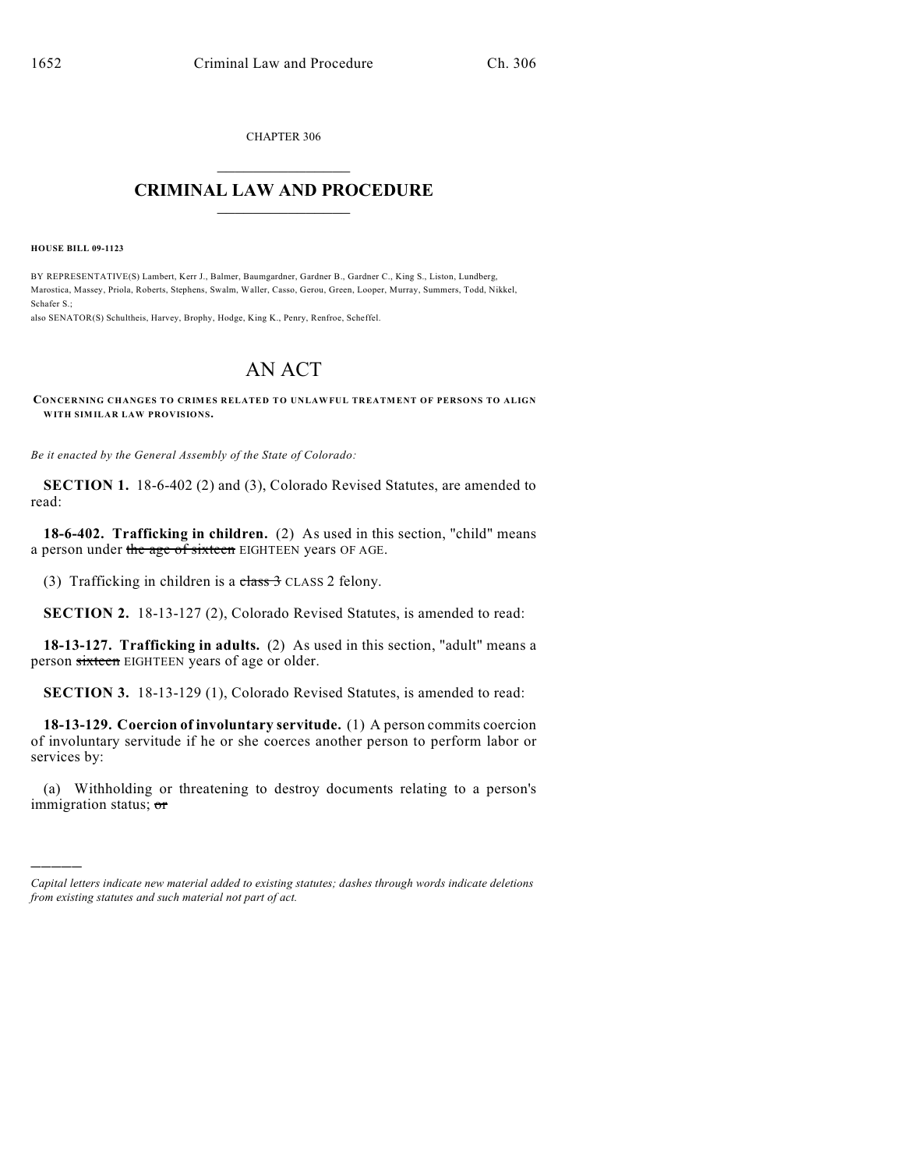CHAPTER 306  $\overline{\phantom{a}}$  . The set of the set of the set of the set of the set of the set of the set of the set of the set of the set of the set of the set of the set of the set of the set of the set of the set of the set of the set o

## **CRIMINAL LAW AND PROCEDURE**  $\frac{1}{2}$  ,  $\frac{1}{2}$  ,  $\frac{1}{2}$  ,  $\frac{1}{2}$  ,  $\frac{1}{2}$  ,  $\frac{1}{2}$  ,  $\frac{1}{2}$

**HOUSE BILL 09-1123**

)))))

BY REPRESENTATIVE(S) Lambert, Kerr J., Balmer, Baumgardner, Gardner B., Gardner C., King S., Liston, Lundberg, Marostica, Massey, Priola, Roberts, Stephens, Swalm, Waller, Casso, Gerou, Green, Looper, Murray, Summers, Todd, Nikkel, Schafer S.;

also SENATOR(S) Schultheis, Harvey, Brophy, Hodge, King K., Penry, Renfroe, Scheffel.

## AN ACT

**CONCERNING CHANGES TO CRIMES RELATED TO UNLAWFUL TREATMENT OF PERSONS TO ALIGN WITH SIMILAR LAW PROVISIONS.**

*Be it enacted by the General Assembly of the State of Colorado:*

**SECTION 1.** 18-6-402 (2) and (3), Colorado Revised Statutes, are amended to read:

**18-6-402. Trafficking in children.** (2) As used in this section, "child" means a person under the age of sixteen EIGHTEEN years OF AGE.

(3) Trafficking in children is a class  $3$  CLASS 2 felony.

**SECTION 2.** 18-13-127 (2), Colorado Revised Statutes, is amended to read:

**18-13-127. Trafficking in adults.** (2) As used in this section, "adult" means a person sixteen EIGHTEEN years of age or older.

**SECTION 3.** 18-13-129 (1), Colorado Revised Statutes, is amended to read:

**18-13-129. Coercion of involuntary servitude.** (1) A person commits coercion of involuntary servitude if he or she coerces another person to perform labor or services by:

(a) Withholding or threatening to destroy documents relating to a person's immigration status; or

*Capital letters indicate new material added to existing statutes; dashes through words indicate deletions from existing statutes and such material not part of act.*